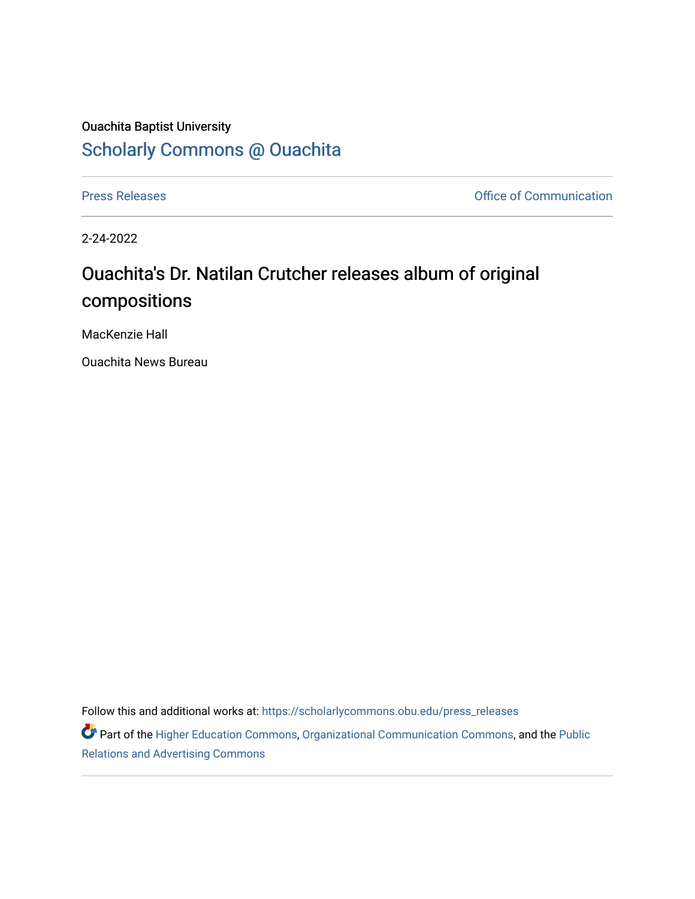## Ouachita Baptist University [Scholarly Commons @ Ouachita](https://scholarlycommons.obu.edu/)

[Press Releases](https://scholarlycommons.obu.edu/press_releases) **Press Releases Communication** 

2-24-2022

## Ouachita's Dr. Natilan Crutcher releases album of original compositions

MacKenzie Hall

Ouachita News Bureau

Follow this and additional works at: [https://scholarlycommons.obu.edu/press\\_releases](https://scholarlycommons.obu.edu/press_releases?utm_source=scholarlycommons.obu.edu%2Fpress_releases%2F1063&utm_medium=PDF&utm_campaign=PDFCoverPages)

Part of the [Higher Education Commons,](http://network.bepress.com/hgg/discipline/1245?utm_source=scholarlycommons.obu.edu%2Fpress_releases%2F1063&utm_medium=PDF&utm_campaign=PDFCoverPages) [Organizational Communication Commons,](http://network.bepress.com/hgg/discipline/335?utm_source=scholarlycommons.obu.edu%2Fpress_releases%2F1063&utm_medium=PDF&utm_campaign=PDFCoverPages) and the [Public](http://network.bepress.com/hgg/discipline/336?utm_source=scholarlycommons.obu.edu%2Fpress_releases%2F1063&utm_medium=PDF&utm_campaign=PDFCoverPages) [Relations and Advertising Commons](http://network.bepress.com/hgg/discipline/336?utm_source=scholarlycommons.obu.edu%2Fpress_releases%2F1063&utm_medium=PDF&utm_campaign=PDFCoverPages)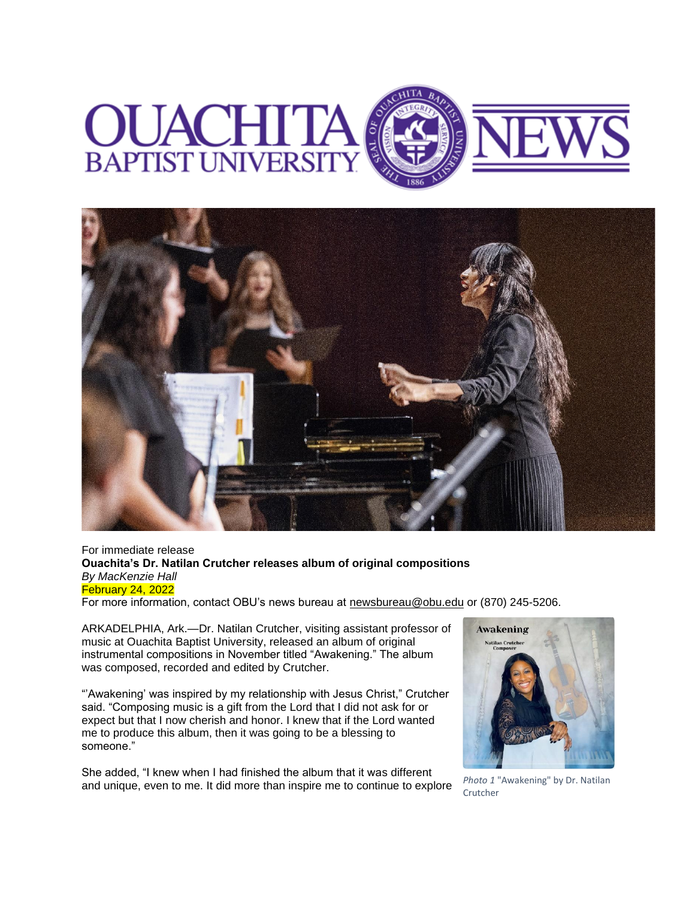



## For immediate release **Ouachita's Dr. Natilan Crutcher releases album of original compositions** *By MacKenzie Hall* February 24, 2022

For more information, contact OBU's news bureau at [newsbureau@obu.edu](mailto:newsbureau@obu.edu) or (870) 245-5206.

ARKADELPHIA, Ark.—Dr. Natilan Crutcher, visiting assistant professor of music at Ouachita Baptist University, released an album of original instrumental compositions in November titled "Awakening." The album was composed, recorded and edited by Crutcher.

"'Awakening' was inspired by my relationship with Jesus Christ," Crutcher said. "Composing music is a gift from the Lord that I did not ask for or expect but that I now cherish and honor. I knew that if the Lord wanted me to produce this album, then it was going to be a blessing to someone."

She added, "I knew when I had finished the album that it was different and unique, even to me. It did more than inspire me to continue to explore *Photo 1* "Awakening" by Dr. Natilan



Crutcher